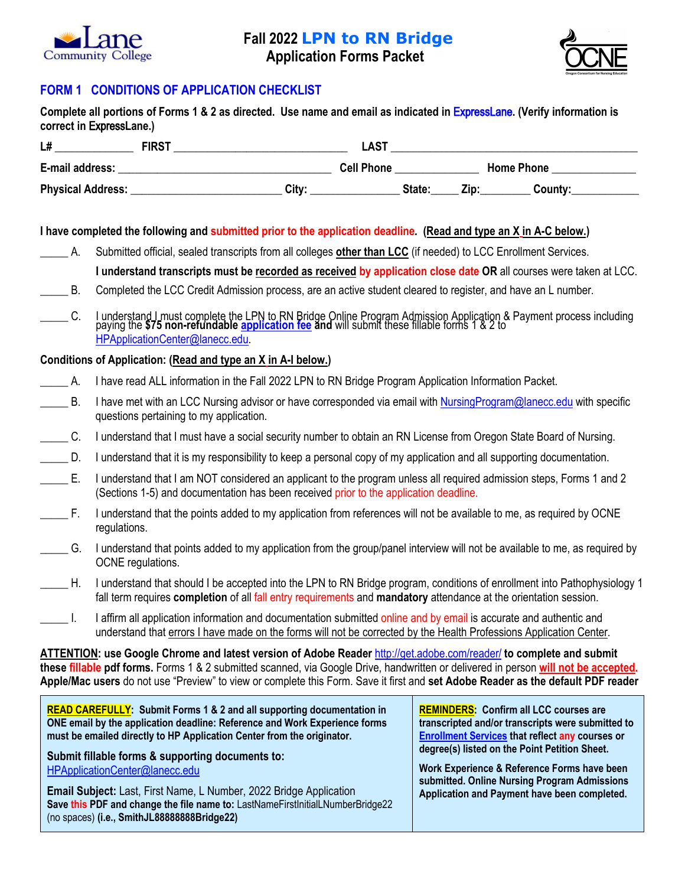

## **Fall 2022 LPN to RN Bridge**

**Application Forms Packet**



## **FORM 1 CONDITIONS OF APPLICATION CHECKLIST**

|                                                                                                                                                                                    | I have completed the following and submitted prior to the application deadline. (Read and type an X in A-C below.)                                                                                                                                                                                                                                                                             |  |  |  |                                                                                                                                                              |  |  |
|------------------------------------------------------------------------------------------------------------------------------------------------------------------------------------|------------------------------------------------------------------------------------------------------------------------------------------------------------------------------------------------------------------------------------------------------------------------------------------------------------------------------------------------------------------------------------------------|--|--|--|--------------------------------------------------------------------------------------------------------------------------------------------------------------|--|--|
| $\overline{\phantom{a}}$ A.                                                                                                                                                        | Submitted official, sealed transcripts from all colleges other than LCC (if needed) to LCC Enrollment Services.                                                                                                                                                                                                                                                                                |  |  |  |                                                                                                                                                              |  |  |
|                                                                                                                                                                                    | I understand transcripts must be recorded as received by application close date OR all courses were taken at LCC.                                                                                                                                                                                                                                                                              |  |  |  |                                                                                                                                                              |  |  |
| $\_\_\_\$ B.                                                                                                                                                                       | Completed the LCC Credit Admission process, are an active student cleared to register, and have an L number.                                                                                                                                                                                                                                                                                   |  |  |  |                                                                                                                                                              |  |  |
| C.                                                                                                                                                                                 | I understand I must complete the LPN to RN Bridge Online Program Admission Application & Payment process including<br>paying the \$75 non-refundable application fee and will submit these fillable forms 1 & 2 to<br>HPApplicationCenter@lanecc.edu.                                                                                                                                          |  |  |  |                                                                                                                                                              |  |  |
|                                                                                                                                                                                    | Conditions of Application: (Read and type an X in A-I below.)                                                                                                                                                                                                                                                                                                                                  |  |  |  |                                                                                                                                                              |  |  |
| ___________A.                                                                                                                                                                      | I have read ALL information in the Fall 2022 LPN to RN Bridge Program Application Information Packet.                                                                                                                                                                                                                                                                                          |  |  |  |                                                                                                                                                              |  |  |
| $\_\_\_\$ B.                                                                                                                                                                       | I have met with an LCC Nursing advisor or have corresponded via email with NursingProgram@lanecc.edu with specific<br>questions pertaining to my application.                                                                                                                                                                                                                                  |  |  |  |                                                                                                                                                              |  |  |
| $\_\_C$ .                                                                                                                                                                          | I understand that I must have a social security number to obtain an RN License from Oregon State Board of Nursing.                                                                                                                                                                                                                                                                             |  |  |  |                                                                                                                                                              |  |  |
| $\rule{1em}{0.15mm}$ D.                                                                                                                                                            | I understand that it is my responsibility to keep a personal copy of my application and all supporting documentation.                                                                                                                                                                                                                                                                          |  |  |  |                                                                                                                                                              |  |  |
| $\rule{1em}{0.15mm}$ E.                                                                                                                                                            | I understand that I am NOT considered an applicant to the program unless all required admission steps, Forms 1 and 2<br>(Sections 1-5) and documentation has been received prior to the application deadline.                                                                                                                                                                                  |  |  |  |                                                                                                                                                              |  |  |
| $\rule{1em}{0.15mm}$ F.                                                                                                                                                            | I understand that the points added to my application from references will not be available to me, as required by OCNE<br>regulations.                                                                                                                                                                                                                                                          |  |  |  |                                                                                                                                                              |  |  |
| $\_\_\_\$ G.                                                                                                                                                                       | I understand that points added to my application from the group/panel interview will not be available to me, as required by<br>OCNE regulations.                                                                                                                                                                                                                                               |  |  |  |                                                                                                                                                              |  |  |
| $\_\_\$ H.                                                                                                                                                                         | I understand that should I be accepted into the LPN to RN Bridge program, conditions of enrollment into Pathophysiology 1<br>fall term requires completion of all fall entry requirements and mandatory attendance at the orientation session.                                                                                                                                                 |  |  |  |                                                                                                                                                              |  |  |
|                                                                                                                                                                                    | I affirm all application information and documentation submitted online and by email is accurate and authentic and<br>understand that errors I have made on the forms will not be corrected by the Health Professions Application Center.                                                                                                                                                      |  |  |  |                                                                                                                                                              |  |  |
|                                                                                                                                                                                    | ATTENTION: use Google Chrome and latest version of Adobe Reader http://get.adobe.com/reader/ to complete and submit<br>these fillable pdf forms. Forms 1 & 2 submitted scanned, via Google Drive, handwritten or delivered in person will not be accepted.<br>Apple/Mac users do not use "Preview" to view or complete this Form. Save it first and set Adobe Reader as the default PDF reader |  |  |  |                                                                                                                                                              |  |  |
|                                                                                                                                                                                    | <b>READ CAREFULLY:</b> Submit Forms 1 & 2 and all supporting documentation in<br>ONE email by the application deadline: Reference and Work Experience forms<br>must be emailed directly to HP Application Center from the originator.                                                                                                                                                          |  |  |  | <b>REMINDERS: Confirm all LCC courses are</b><br>transcripted and/or transcripts were submitted to<br><b>Enrollment Services that reflect any courses or</b> |  |  |
| degree(s) listed on the Point Petition Sheet.<br>Submit fillable forms & supporting documents to:<br>Work Experience & Reference Forms have been<br>HPApplicationCenter@lanecc.edu |                                                                                                                                                                                                                                                                                                                                                                                                |  |  |  | submitted. Online Nursing Program Admissions                                                                                                                 |  |  |
|                                                                                                                                                                                    | <b>Email Subject:</b> Last, First Name, L Number, 2022 Bridge Application<br>Save this PDF and change the file name to: LastNameFirstInitialLNumberBridge22<br>(no spaces) (i.e., SmithJL88888888Bridge22)                                                                                                                                                                                     |  |  |  | Application and Payment have been completed.                                                                                                                 |  |  |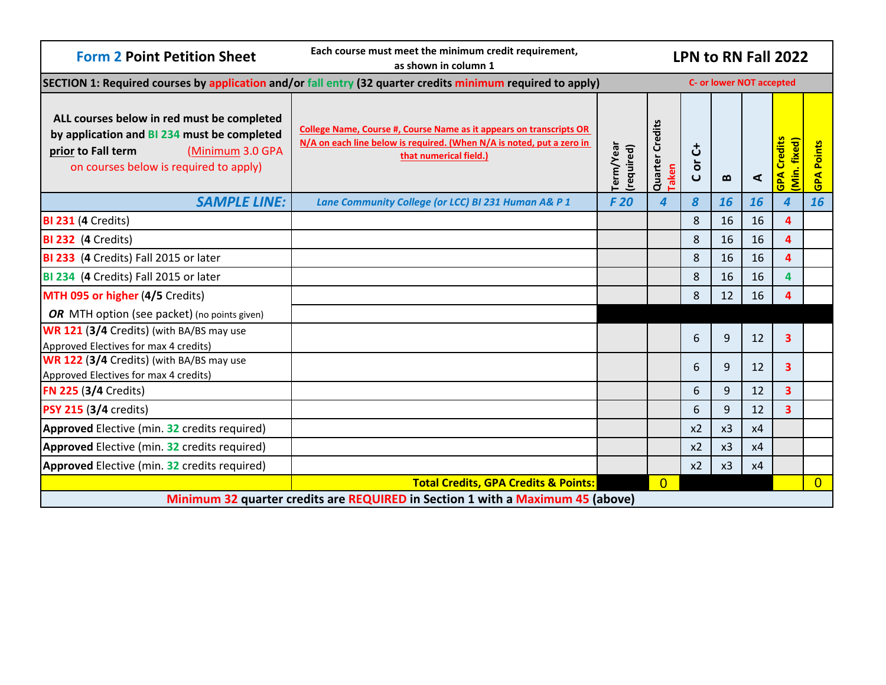| <b>Form 2 Point Petition Sheet</b>                                                                                                                                            | Each course must meet the minimum credit requirement,<br>as shown in column 1                                                                                                 | LPN to RN Fall 2022     |                                 |                       |                   |    |                                    |                      |
|-------------------------------------------------------------------------------------------------------------------------------------------------------------------------------|-------------------------------------------------------------------------------------------------------------------------------------------------------------------------------|-------------------------|---------------------------------|-----------------------|-------------------|----|------------------------------------|----------------------|
|                                                                                                                                                                               | SECTION 1: Required courses by application and/or fall entry (32 quarter credits minimum required to apply)                                                                   |                         | <b>C- or lower NOT accepted</b> |                       |                   |    |                                    |                      |
| ALL courses below in red must be completed<br>by application and BI 234 must be completed<br>(Minimum 3.0 GPA<br>prior to Fall term<br>on courses below is required to apply) | <b>College Name, Course #, Course Name as it appears on transcripts OR</b><br>N/A on each line below is required. (When N/A is noted, put a zero in<br>that numerical field.) | Term/Year<br>(required) | <b>Quarter Credits</b><br>Taken | さ<br>ŏ<br>$\mathbf C$ | $\mathbf{\Omega}$ | ⋖  | <b>GPA Credits</b><br>(Min. fixed) | <b>Points</b><br>GPA |
| <b>SAMPLE LINE:</b>                                                                                                                                                           | Lane Community College (or LCC) BI 231 Human A& P 1                                                                                                                           | F 20                    | $\mathbf{A}$                    | 8                     | 16                | 16 | 4                                  | 16                   |
| <b>BI 231 (4 Credits)</b>                                                                                                                                                     |                                                                                                                                                                               |                         |                                 | 8                     | 16                | 16 | $\overline{a}$                     |                      |
| <b>BI 232 (4 Credits)</b>                                                                                                                                                     |                                                                                                                                                                               |                         |                                 | 8                     | 16                | 16 | $\boldsymbol{A}$                   |                      |
| BI 233 (4 Credits) Fall 2015 or later                                                                                                                                         |                                                                                                                                                                               |                         |                                 | 8                     | 16                | 16 | 4                                  |                      |
| BI 234 (4 Credits) Fall 2015 or later                                                                                                                                         |                                                                                                                                                                               |                         |                                 | 8                     | 16                | 16 | 4                                  |                      |
| MTH 095 or higher (4/5 Credits)                                                                                                                                               |                                                                                                                                                                               |                         |                                 | 8                     | 12                | 16 | Δ                                  |                      |
| OR MTH option (see packet) (no points given)                                                                                                                                  |                                                                                                                                                                               |                         |                                 |                       |                   |    |                                    |                      |
| WR 121 (3/4 Credits) (with BA/BS may use<br>Approved Electives for max 4 credits)                                                                                             |                                                                                                                                                                               |                         |                                 | 6                     | 9                 | 12 | 3                                  |                      |
| WR 122 (3/4 Credits) (with BA/BS may use<br>Approved Electives for max 4 credits)                                                                                             |                                                                                                                                                                               |                         |                                 | 6                     | 9                 | 12 | $\overline{\mathbf{3}}$            |                      |
| <b>FN 225 (3/4 Credits)</b>                                                                                                                                                   |                                                                                                                                                                               |                         |                                 | 6                     | 9                 | 12 | 3                                  |                      |
| PSY 215 (3/4 credits)                                                                                                                                                         |                                                                                                                                                                               |                         |                                 | 6                     | 9                 | 12 | 3                                  |                      |
| <b>Approved</b> Elective (min. 32 credits required)                                                                                                                           |                                                                                                                                                                               |                         |                                 | x <sub>2</sub>        | x3                | x4 |                                    |                      |
| Approved Elective (min. 32 credits required)                                                                                                                                  |                                                                                                                                                                               |                         |                                 | x2                    | x3                | x4 |                                    |                      |
| <b>Approved</b> Elective (min. 32 credits required)                                                                                                                           |                                                                                                                                                                               |                         |                                 | x2                    | x3                | x4 |                                    |                      |
|                                                                                                                                                                               | <b>Total Credits, GPA Credits &amp; Points:</b>                                                                                                                               |                         | $\Omega$                        |                       |                   |    |                                    | $\Omega$             |
| Minimum 32 quarter credits are REQUIRED in Section 1 with a Maximum 45 (above)                                                                                                |                                                                                                                                                                               |                         |                                 |                       |                   |    |                                    |                      |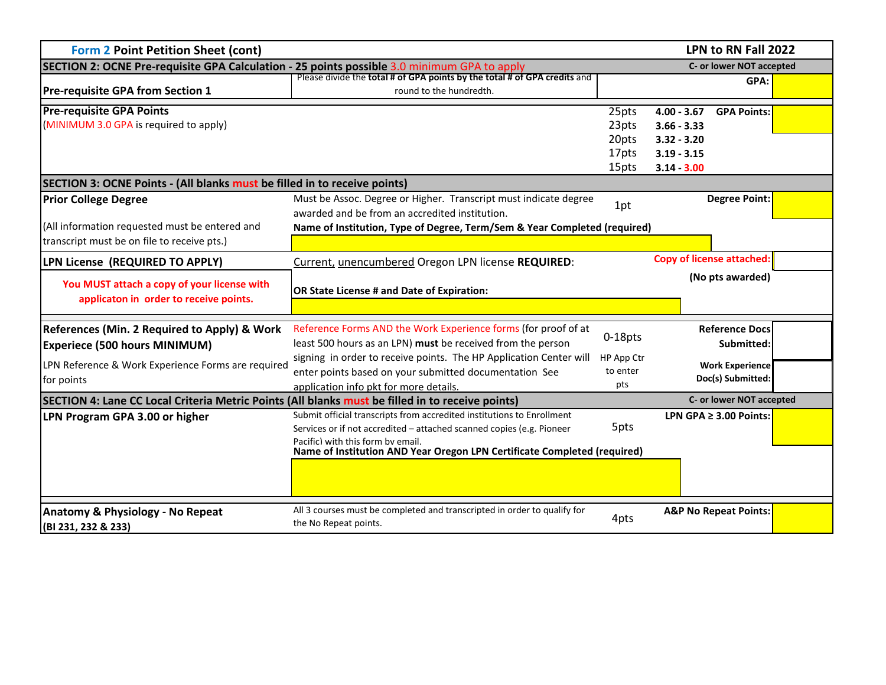| <b>Form 2 Point Petition Sheet (cont)</b>                                                                                    | LPN to RN Fall 2022                                                                                                                                                                  |                                           |                                                                                                         |  |  |  |  |  |
|------------------------------------------------------------------------------------------------------------------------------|--------------------------------------------------------------------------------------------------------------------------------------------------------------------------------------|-------------------------------------------|---------------------------------------------------------------------------------------------------------|--|--|--|--|--|
| SECTION 2: OCNE Pre-requisite GPA Calculation - 25 points possible 3.0 minimum GPA to apply                                  | C- or lower NOT accepted                                                                                                                                                             |                                           |                                                                                                         |  |  |  |  |  |
| <b>Pre-requisite GPA from Section 1</b>                                                                                      | Please divide the total # of GPA points by the total # of GPA credits and<br>round to the hundredth.                                                                                 |                                           | GPA:                                                                                                    |  |  |  |  |  |
| <b>Pre-requisite GPA Points</b><br>(MINIMUM 3.0 GPA is required to apply)                                                    |                                                                                                                                                                                      | 25pts<br>23pts<br>20pts<br>17pts<br>15pts | $4.00 - 3.67$<br><b>GPA Points:</b><br>$3.66 - 3.33$<br>$3.32 - 3.20$<br>$3.19 - 3.15$<br>$3.14 - 3.00$ |  |  |  |  |  |
| SECTION 3: OCNE Points - (All blanks must be filled in to receive points)                                                    |                                                                                                                                                                                      |                                           |                                                                                                         |  |  |  |  |  |
| <b>Prior College Degree</b>                                                                                                  | Must be Assoc. Degree or Higher. Transcript must indicate degree<br>awarded and be from an accredited institution.                                                                   | 1pt                                       | <b>Degree Point:</b>                                                                                    |  |  |  |  |  |
| (All information requested must be entered and<br>transcript must be on file to receive pts.)                                | Name of Institution, Type of Degree, Term/Sem & Year Completed (required)                                                                                                            |                                           |                                                                                                         |  |  |  |  |  |
| LPN License (REQUIRED TO APPLY)                                                                                              | Current, unencumbered Oregon LPN license REQUIRED:                                                                                                                                   |                                           | <b>Copy of license attached:</b>                                                                        |  |  |  |  |  |
| You MUST attach a copy of your license with<br>applicaton in order to receive points.                                        | OR State License # and Date of Expiration:                                                                                                                                           |                                           | (No pts awarded)                                                                                        |  |  |  |  |  |
| References (Min. 2 Required to Apply) & Work<br><b>Experiece (500 hours MINIMUM)</b>                                         | Reference Forms AND the Work Experience forms (for proof of at<br>least 500 hours as an LPN) must be received from the person                                                        | 0-18pts                                   | <b>Reference Docs</b><br>Submitted:                                                                     |  |  |  |  |  |
| LPN Reference & Work Experience Forms are required<br>for points                                                             | signing in order to receive points. The HP Application Center will<br>enter points based on your submitted documentation See<br>application info pkt for more details.               | HP App Ctr<br>to enter<br>pts             | <b>Work Experience</b><br>Doc(s) Submitted:                                                             |  |  |  |  |  |
| SECTION 4: Lane CC Local Criteria Metric Points (All blanks must be filled in to receive points)<br>C- or lower NOT accepted |                                                                                                                                                                                      |                                           |                                                                                                         |  |  |  |  |  |
| LPN Program GPA 3.00 or higher                                                                                               | Submit official transcripts from accredited institutions to Enrollment<br>Services or if not accredited - attached scanned copies (e.g. Pioneer<br>Pacific) with this form by email. | 5pts                                      | LPN GPA $\geq$ 3.00 Points:                                                                             |  |  |  |  |  |
|                                                                                                                              | Name of Institution AND Year Oregon LPN Certificate Completed (required)                                                                                                             |                                           |                                                                                                         |  |  |  |  |  |
| <b>Anatomy &amp; Physiology - No Repeat</b><br>(BI 231, 232 & 233)                                                           | All 3 courses must be completed and transcripted in order to qualify for<br>the No Repeat points.                                                                                    | 4pts                                      | <b>A&amp;P No Repeat Points:</b>                                                                        |  |  |  |  |  |